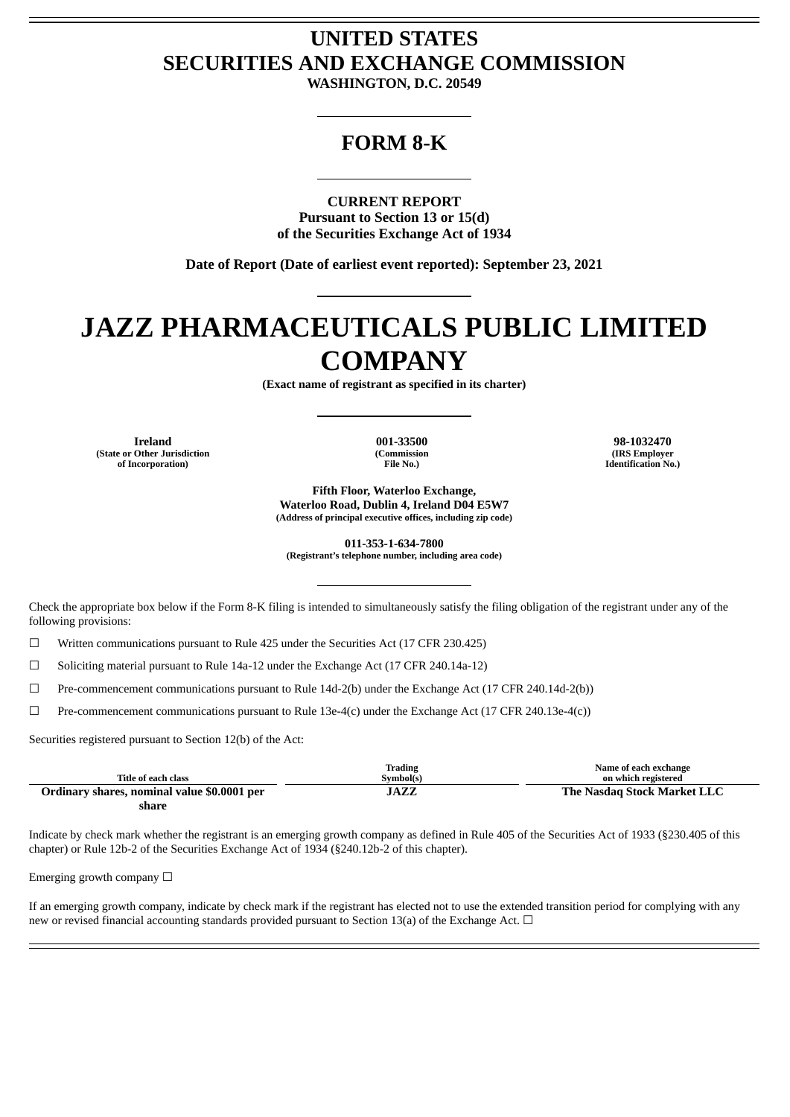## **UNITED STATES SECURITIES AND EXCHANGE COMMISSION**

**WASHINGTON, D.C. 20549**

### **FORM 8-K**

**CURRENT REPORT Pursuant to Section 13 or 15(d) of the Securities Exchange Act of 1934**

**Date of Report (Date of earliest event reported): September 23, 2021**

# **JAZZ PHARMACEUTICALS PUBLIC LIMITED COMPANY**

**(Exact name of registrant as specified in its charter)**

**Ireland 001-33500 98-1032470 (State or Other Jurisdiction of Incorporation)**

**(Commission File No.)**

**(IRS Employer Identification No.)**

**Fifth Floor, Waterloo Exchange, Waterloo Road, Dublin 4, Ireland D04 E5W7 (Address of principal executive offices, including zip code)**

**011-353-1-634-7800 (Registrant's telephone number, including area code)**

Check the appropriate box below if the Form 8-K filing is intended to simultaneously satisfy the filing obligation of the registrant under any of the following provisions:

☐ Written communications pursuant to Rule 425 under the Securities Act (17 CFR 230.425)

 $\Box$  Soliciting material pursuant to Rule 14a-12 under the Exchange Act (17 CFR 240.14a-12)

 $\Box$  Pre-commencement communications pursuant to Rule 14d-2(b) under the Exchange Act (17 CFR 240.14d-2(b))

 $\Box$  Pre-commencement communications pursuant to Rule 13e-4(c) under the Exchange Act (17 CFR 240.13e-4(c))

Securities registered pursuant to Section 12(b) of the Act:

| Title of each class                         | Trading<br>Symbol(s) | Name of each exchange<br>on which registered |
|---------------------------------------------|----------------------|----------------------------------------------|
| Ordinary shares, nominal value \$0.0001 per | JAZZ                 | The Nasdag Stock Market LLC                  |
| share                                       |                      |                                              |

Indicate by check mark whether the registrant is an emerging growth company as defined in Rule 405 of the Securities Act of 1933 (§230.405 of this chapter) or Rule 12b-2 of the Securities Exchange Act of 1934 (§240.12b-2 of this chapter).

Emerging growth company  $\Box$ 

If an emerging growth company, indicate by check mark if the registrant has elected not to use the extended transition period for complying with any new or revised financial accounting standards provided pursuant to Section 13(a) of the Exchange Act.  $\Box$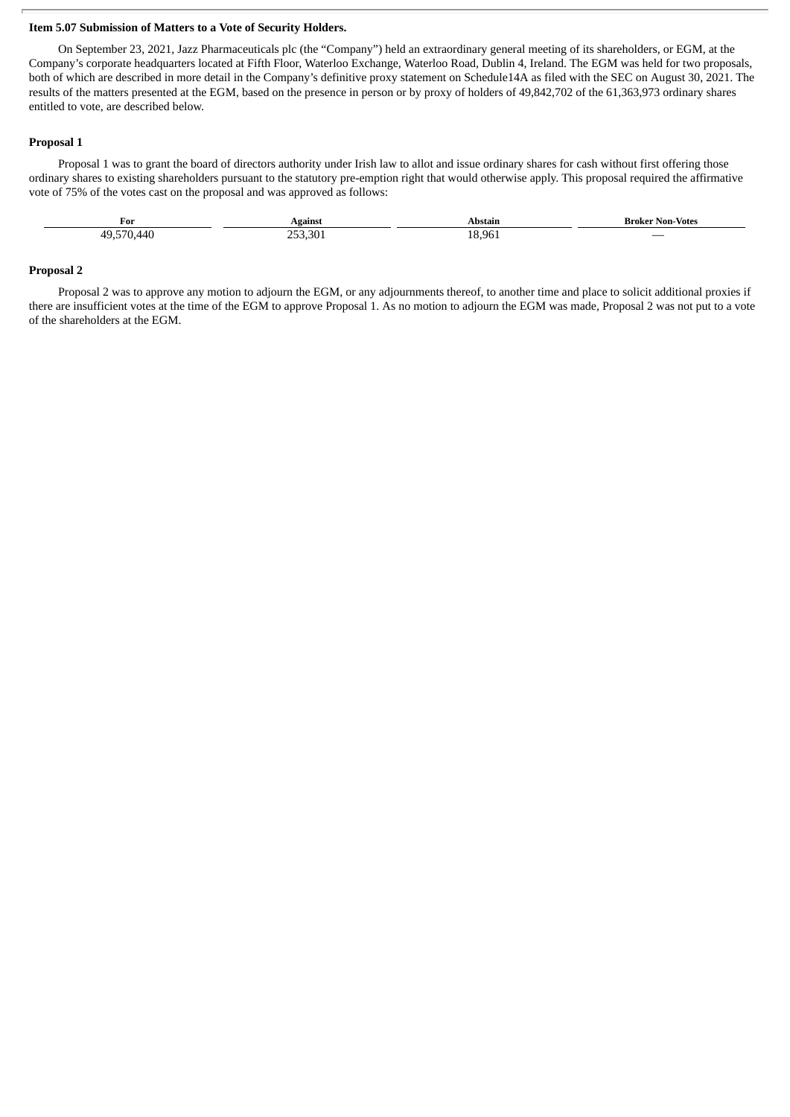#### **Item 5.07 Submission of Matters to a Vote of Security Holders.**

On September 23, 2021, Jazz Pharmaceuticals plc (the "Company") held an extraordinary general meeting of its shareholders, or EGM, at the Company's corporate headquarters located at Fifth Floor, Waterloo Exchange, Waterloo Road, Dublin 4, Ireland. The EGM was held for two proposals, both of which are described in more detail in the Company's definitive proxy statement on Schedule14A as filed with the SEC on August 30, 2021. The results of the matters presented at the EGM, based on the presence in person or by proxy of holders of 49,842,702 of the 61,363,973 ordinary shares entitled to vote, are described below.

#### **Proposal 1**

Proposal 1 was to grant the board of directors authority under Irish law to allot and issue ordinary shares for cash without first offering those ordinary shares to existing shareholders pursuant to the statutory pre-emption right that would otherwise apply. This proposal required the affirmative vote of 75% of the votes cast on the proposal and was approved as follows:

| For                              | Against    | Abstain        | - Broker Non-Votes       |
|----------------------------------|------------|----------------|--------------------------|
| F70<br>$\Delta A \Gamma$<br>71 L | חחת<br>.30 | 18.96<br>- - - | $\overline{\phantom{a}}$ |

#### **Proposal 2**

Proposal 2 was to approve any motion to adjourn the EGM, or any adjournments thereof, to another time and place to solicit additional proxies if there are insufficient votes at the time of the EGM to approve Proposal 1. As no motion to adjourn the EGM was made, Proposal 2 was not put to a vote of the shareholders at the EGM.